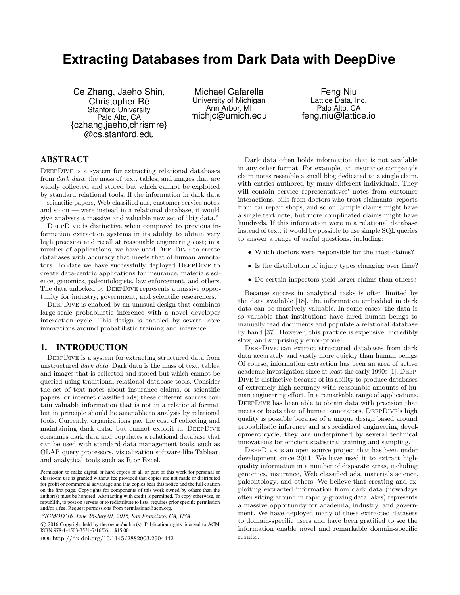# **Extracting Databases from Dark Data with DeepDive**

Ce Zhang, Jaeho Shin, Christopher Ré Stanford University Palo Alto, CA {czhang,jaeho,chrismre} @cs.stanford.edu

Michael Cafarella University of Michigan Ann Arbor, MI michjc@umich.edu

Feng Niu Lattice Data, Inc. Palo Alto, CA feng.niu@lattice.io

# ABSTRACT

DeepDive is a system for extracting relational databases from dark data: the mass of text, tables, and images that are widely collected and stored but which cannot be exploited by standard relational tools. If the information in dark data — scientific papers, Web classified ads, customer service notes, and so on — were instead in a relational database, it would give analysts a massive and valuable new set of "big data."

DEEPDIVE is distinctive when compared to previous information extraction systems in its ability to obtain very high precision and recall at reasonable engineering cost; in a number of applications, we have used DeepDive to create databases with accuracy that meets that of human annotators. To date we have successfully deployed DeepDive to create data-centric applications for insurance, materials science, genomics, paleontologists, law enforcement, and others. The data unlocked by DeepDive represents a massive opportunity for industry, government, and scientific researchers.

DEEPDIVE is enabled by an unusual design that combines large-scale probabilistic inference with a novel developer interaction cycle. This design is enabled by several core innovations around probabilistic training and inference.

#### 1. INTRODUCTION

DeepDive is a system for extracting structured data from unstructured dark data. Dark data is the mass of text, tables, and images that is collected and stored but which cannot be queried using traditional relational database tools. Consider the set of text notes about insurance claims, or scientific papers, or internet classified ads; these different sources contain valuable information that is not in a relational format, but in principle should be amenable to analysis by relational tools. Currently, organizations pay the cost of collecting and maintaining dark data, but cannot exploit it. DeepDive consumes dark data and populates a relational database that can be used with standard data management tools, such as OLAP query processors, visualization software like Tableau, and analytical tools such as R or Excel.

 c 2016 Copyright held by the owner/author(s). Publication rights licensed to ACM. ISBN 978-1-4503-3531-7/16/06. . . \$15.00

DOI: http://dx.doi.org/10.1145/2882903.2904442

Dark data often holds information that is not available in any other format. For example, an insurance company's claim notes resemble a small blog dedicated to a single claim, with entries authored by many different individuals. They will contain service representatives' notes from customer interactions, bills from doctors who treat claimants, reports from car repair shops, and so on. Simple claims might have a single text note, but more complicated claims might have hundreds. If this information were in a relational database instead of text, it would be possible to use simple SQL queries to answer a range of useful questions, including:

- Which doctors were responsible for the most claims?
- Is the distribution of injury types changing over time?
- Do certain inspectors yield larger claims than others?

Because success in analytical tasks is often limited by the data available [18], the information embedded in dark data can be massively valuable. In some cases, the data is so valuable that institutions have hired human beings to manually read documents and populate a relational database by hand [37]. However, this practice is expensive, incredibly slow, and surprisingly error-prone.

DeepDive can extract structured databases from dark data accurately and vastly more quickly than human beings. Of course, information extraction has been an area of active academic investigation since at least the early 1990s [1]. Deep-Dive is distinctive because of its ability to produce databases of extremely high accuracy with reasonable amounts of human engineering effort. In a remarkable range of applications, DEEPDIVE has been able to obtain data with precision that meets or beats that of human annotators. DeepDive's high quality is possible because of a unique design based around probabilistic inference and a specialized engineering development cycle; they are underpinned by several technical innovations for efficient statistical training and sampling.

DEEPDIVE is an open source project that has been under development since 2011. We have used it to extract highquality information in a number of disparate areas, including genomics, insurance, Web classified ads, materials science, paleontology, and others. We believe that creating and exploiting extracted information from dark data (nowadays often sitting around in rapidly-growing data lakes) represents a massive opportunity for academia, industry, and government. We have deployed many of these extracted datasets to domain-specific users and have been gratified to see the information enable novel and remarkable domain-specific results.

Permission to make digital or hard copies of all or part of this work for personal or classroom use is granted without fee provided that copies are not made or distributed for profit or commercial advantage and that copies bear this notice and the full citation on the first page. Copyrights for components of this work owned by others than the author(s) must be honored. Abstracting with credit is permitted. To copy otherwise, or republish, to post on servers or to redistribute to lists, requires prior specific permission and/or a fee. Request permissions from permissions@acm.org.

*SIGMOD'16, June 26-July 01, 2016, San Francisco, CA, USA*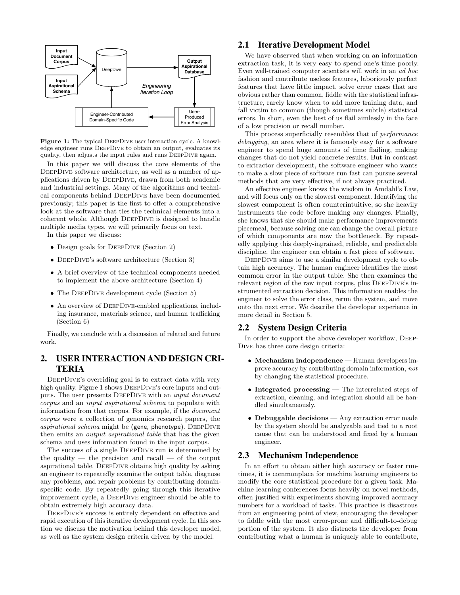

Figure 1: The typical DEEPDIVE user interaction cycle. A knowledge engineer runs DeepDive to obtain an output, evaluates its quality, then adjusts the input rules and runs DeepDive again.

In this paper we will discuss the core elements of the DEEPDIVE software architecture, as well as a number of applications driven by DeepDive, drawn from both academic and industrial settings. Many of the algorithms and technical components behind DeepDive have been documented previously; this paper is the first to offer a comprehensive look at the software that ties the technical elements into a coherent whole. Although DeepDive is designed to handle multiple media types, we will primarily focus on text.

In this paper we discuss:

- Design goals for DEEPDIVE (Section 2)
- DeepDive's software architecture (Section 3)
- A brief overview of the technical components needed to implement the above architecture (Section 4)
- The DEEPDIVE development cycle (Section 5)
- An overview of DEEPDIVE-enabled applications, including insurance, materials science, and human trafficking (Section 6)

Finally, we conclude with a discussion of related and future work.

# 2. USER INTERACTION AND DESIGN CRI-TERIA

DEEPDIVE's overriding goal is to extract data with very high quality. Figure 1 shows DEEPDIVE's core inputs and outputs. The user presents DeepDive with an input document corpus and an input aspirational schema to populate with information from that corpus. For example, if the document corpus were a collection of genomics research papers, the aspirational schema might be (gene, phenotype). DEEPDIVE then emits an output aspirational table that has the given schema and uses information found in the input corpus.

The success of a single DeepDive run is determined by the quality — the precision and recall — of the output aspirational table. DeepDive obtains high quality by asking an engineer to repeatedly examine the output table, diagnose any problems, and repair problems by contributing domainspecific code. By repeatedly going through this iterative improvement cycle, a DeepDive engineer should be able to obtain extremely high accuracy data.

DEEPDIVE's success is entirely dependent on effective and rapid execution of this iterative development cycle. In this section we discuss the motivation behind this developer model, as well as the system design criteria driven by the model.

## 2.1 Iterative Development Model

We have observed that when working on an information extraction task, it is very easy to spend one's time poorly. Even well-trained computer scientists will work in an ad hoc fashion and contribute useless features, laboriously perfect features that have little impact, solve error cases that are obvious rather than common, fiddle with the statistical infrastructure, rarely know when to add more training data, and fall victim to common (though sometimes subtle) statistical errors. In short, even the best of us flail aimlessly in the face of a low precision or recall number.

This process superficially resembles that of performance debugging, an area where it is famously easy for a software engineer to spend huge amounts of time flailing, making changes that do not yield concrete results. But in contrast to extractor development, the software engineer who wants to make a slow piece of software run fast can pursue several methods that are very effective, if not always practiced.

An effective engineer knows the wisdom in Amdahl's Law, and will focus only on the slowest component. Identifying the slowest component is often counterintuitive, so she heavily instruments the code before making any changes. Finally, she knows that she should make performance improvements piecemeal, because solving one can change the overall picture of which components are now the bottleneck. By repeatedly applying this deeply-ingrained, reliable, and predictable discipline, the engineer can obtain a fast piece of software.

DEEPDIVE aims to use a similar development cycle to obtain high accuracy. The human engineer identifies the most common error in the output table. She then examines the relevant region of the raw input corpus, plus DeepDive's instrumented extraction decision. This information enables the engineer to solve the error class, rerun the system, and move onto the next error. We describe the developer experience in more detail in Section 5.

## 2.2 System Design Criteria

In order to support the above developer workflow, DEEP-Dive has three core design criteria:

- Mechanism independence Human developers improve accuracy by contributing domain information, not by changing the statistical procedure.
- Integrated processing The interrelated steps of extraction, cleaning, and integration should all be handled simultaneously.
- Debuggable decisions Any extraction error made by the system should be analyzable and tied to a root cause that can be understood and fixed by a human engineer.

#### 2.3 Mechanism Independence

In an effort to obtain either high accuracy or faster runtimes, it is commonplace for machine learning engineers to modify the core statistical procedure for a given task. Machine learning conferences focus heavily on novel methods, often justified with experiments showing improved accuracy numbers for a workload of tasks. This practice is disastrous from an engineering point of view, encouraging the developer to fiddle with the most error-prone and difficult-to-debug portion of the system. It also distracts the developer from contributing what a human is uniquely able to contribute,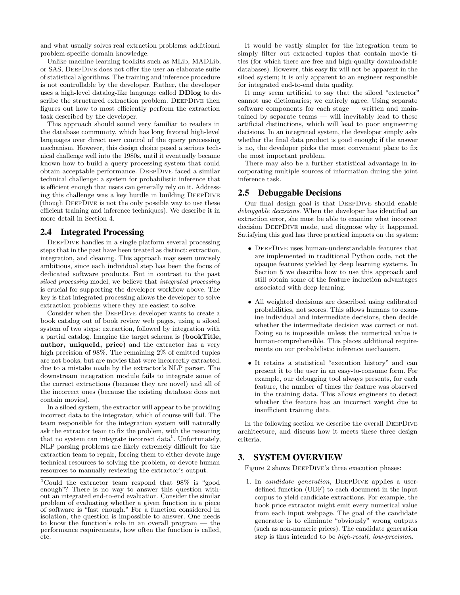and what usually solves real extraction problems: additional problem-specific domain knowledge.

Unlike machine learning toolkits such as MLib, MADLib, or SAS, DeepDive does not offer the user an elaborate suite of statistical algorithms. The training and inference procedure is not controllable by the developer. Rather, the developer uses a high-level datalog-like language called DDlog to describe the structured extraction problem. DEEPDIVE then figures out how to most efficiently perform the extraction task described by the developer.

This approach should sound very familiar to readers in the database community, which has long favored high-level languages over direct user control of the query processing mechanism. However, this design choice posed a serious technical challenge well into the 1980s, until it eventually became known how to build a query processing system that could obtain acceptable performance. DeepDive faced a similar technical challenge: a system for probabilistic inference that is efficient enough that users can generally rely on it. Addressing this challenge was a key hurdle in building DeepDive (though DeepDive is not the only possible way to use these efficient training and inference techniques). We describe it in more detail in Section 4.

## 2.4 Integrated Processing

DEEPDIVE handles in a single platform several processing steps that in the past have been treated as distinct: extraction, integration, and cleaning. This approach may seem unwisely ambitious, since each individual step has been the focus of dedicated software products. But in contrast to the past siloed processing model, we believe that integrated processing is crucial for supporting the developer workflow above. The key is that integrated processing allows the developer to solve extraction problems where they are easiest to solve.

Consider when the DeepDive developer wants to create a book catalog out of book review web pages, using a siloed system of two steps: extraction, followed by integration with a partial catalog. Imagine the target schema is (bookTitle, author, uniqueId, price) and the extractor has a very high precision of 98%. The remaining 2% of emitted tuples are not books, but are movies that were incorrectly extracted, due to a mistake made by the extractor's NLP parser. The downstream integration module fails to integrate some of the correct extractions (because they are novel) and all of the incorrect ones (because the existing database does not contain movies).

In a siloed system, the extractor will appear to be providing incorrect data to the integrator, which of course will fail. The team responsible for the integration system will naturally ask the extractor team to fix the problem, with the reasoning that no system can integrate incorrect  $data<sup>1</sup>$ . Unfortunately, NLP parsing problems are likely extremely difficult for the extraction team to repair, forcing them to either devote huge technical resources to solving the problem, or devote human resources to manually reviewing the extractor's output.

It would be vastly simpler for the integration team to simply filter out extracted tuples that contain movie titles (for which there are free and high-quality downloadable databases). However, this easy fix will not be apparent in the siloed system; it is only apparent to an engineer responsible for integrated end-to-end data quality.

It may seem artificial to say that the siloed "extractor" cannot use dictionaries; we entirely agree. Using separate software components for each stage — written and maintained by separate teams — will inevitably lead to these artificial distinctions, which will lead to poor engineering decisions. In an integrated system, the developer simply asks whether the final data product is good enough; if the answer is no, the developer picks the most convenient place to fix the most important problem.

There may also be a further statistical advantage in incorporating multiple sources of information during the joint inference task.

#### 2.5 Debuggable Decisions

Our final design goal is that DeepDive should enable debuggable decisions. When the developer has identified an extraction error, she must be able to examine what incorrect decision DeepDive made, and diagnose why it happened. Satisfying this goal has three practical impacts on the system:

- DeepDive uses human-understandable features that are implemented in traditional Python code, not the opaque features yielded by deep learning systems. In Section 5 we describe how to use this approach and still obtain some of the feature induction advantages associated with deep learning.
- All weighted decisions are described using calibrated probabilities, not scores. This allows humans to examine individual and intermediate decisions, then decide whether the intermediate decision was correct or not. Doing so is impossible unless the numerical value is human-comprehensible. This places additional requirements on our probabilistic inference mechanism.
- It retains a statistical "execution history" and can present it to the user in an easy-to-consume form. For example, our debugging tool always presents, for each feature, the number of times the feature was observed in the training data. This allows engineers to detect whether the feature has an incorrect weight due to insufficient training data.

In the following section we describe the overall DeepDive architecture, and discuss how it meets these three design criteria.

## 3. SYSTEM OVERVIEW

Figure 2 shows DeepDive's three execution phases:

1. In candidate generation, DeepDive applies a userdefined function (UDF) to each document in the input corpus to yield candidate extractions. For example, the book price extractor might emit every numerical value from each input webpage. The goal of the candidate generator is to eliminate "obviously" wrong outputs (such as non-numeric prices). The candidate generation step is thus intended to be high-recall, low-precision.

<sup>1</sup>Could the extractor team respond that 98% is "good enough"? There is no way to answer this question without an integrated end-to-end evaluation. Consider the similar problem of evaluating whether a given function in a piece of software is "fast enough." For a function considered in isolation, the question is impossible to answer. One needs to know the function's role in an overall program — the performance requirements, how often the function is called, etc.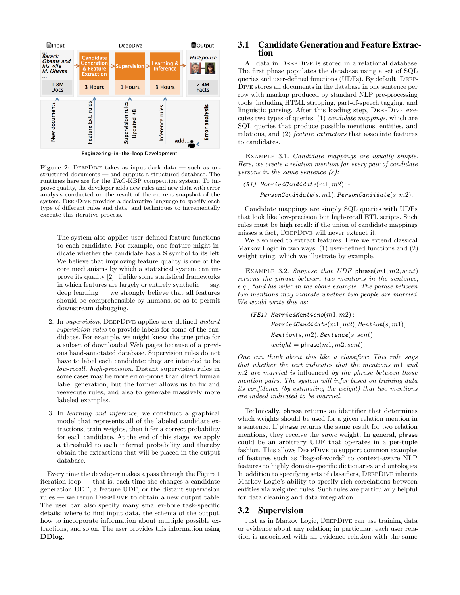

Engineering-in-the-loop Development

Figure 2: DEEPDIVE takes as input dark data — such as unstructured documents — and outputs a structured database. The runtimes here are for the TAC-KBP competition system. To improve quality, the developer adds new rules and new data with error analysis conducted on the result of the current snapshot of the system. DeepDive provides a declarative language to specify each type of different rules and data, and techniques to incrementally execute this iterative process.

The system also applies user-defined feature functions to each candidate. For example, one feature might indicate whether the candidate has a \$ symbol to its left. We believe that improving feature quality is one of the core mechanisms by which a statistical system can improve its quality [2]. Unlike some statistical frameworks in which features are largely or entirely synthetic — say, deep learning — we strongly believe that all features should be comprehensible by humans, so as to permit downstream debugging.

- 2. In supervision, DeepDive applies user-defined distant supervision rules to provide labels for some of the candidates. For example, we might know the true price for a subset of downloaded Web pages because of a previous hand-annotated database. Supervision rules do not have to label each candidate: they are intended to be low-recall, high-precision. Distant supervision rules in some cases may be more error-prone than direct human label generation, but the former allows us to fix and reexecute rules, and also to generate massively more labeled examples.
- 3. In learning and inference, we construct a graphical model that represents all of the labeled candidate extractions, train weights, then infer a correct probability for each candidate. At the end of this stage, we apply a threshold to each inferred probability and thereby obtain the extractions that will be placed in the output database.

Every time the developer makes a pass through the Figure 1 iteration loop — that is, each time she changes a candidate generation UDF, a feature UDF, or the distant supervision rules — we rerun DeepDive to obtain a new output table. The user can also specify many smaller-bore task-specific details: where to find input data, the schema of the output, how to incorporate information about multiple possible extractions, and so on. The user provides this information using DDlog.

#### 3.1 Candidate Generation and Feature Extraction

All data in DeepDive is stored in a relational database. The first phase populates the database using a set of SQL queries and user-defined functions (UDFs). By default, Deep-Dive stores all documents in the database in one sentence per row with markup produced by standard NLP pre-processing tools, including HTML stripping, part-of-speech tagging, and linguistic parsing. After this loading step, DeepDive executes two types of queries: (1) candidate mappings, which are SQL queries that produce possible mentions, entities, and relations, and (2) feature extractors that associate features to candidates.

EXAMPLE 3.1. Candidate mappings are usually simple. Here, we create a relation mention for every pair of candidate persons in the same sentence (s):

 $(R1)$  MarriedCandidate $(m1, m2)$ :- $PersonCandidate(s, m1), PersonCandidate(s, m2).$ 

Candidate mappings are simply SQL queries with UDFs that look like low-precision but high-recall ETL scripts. Such rules must be high recall: if the union of candidate mappings misses a fact, DeepDive will never extract it.

We also need to extract features. Here we extend classical Markov Logic in two ways: (1) user-defined functions and (2) weight tying, which we illustrate by example.

EXAMPLE 3.2. Suppose that  $UDF$  phrase $(m1, m2, sent)$ returns the phrase between two mentions in the sentence, e.g., "and his wife" in the above example. The phrase between two mentions may indicate whether two people are married. We would write this as:

(FE1) MarriedMentions $(m1, m2)$ :- $MarriedC and *idate*(m1, m2), *Mention(s, m1)*,$  $M$ ention $(s, m2)$ , Sentence $(s, sent)$  $weight = \text{phrase}(m1, m2, sent).$ 

One can think about this like a classifier: This rule says that whether the text indicates that the mentions m1 and m2 are married is influenced by the phrase between those mention pairs. The system will infer based on training data its confidence (by estimating the weight) that two mentions are indeed indicated to be married.

Technically, phrase returns an identifier that determines which weights should be used for a given relation mention in a sentence. If phrase returns the same result for two relation mentions, they receive the *same* weight. In general, phrase could be an arbitrary UDF that operates in a per-tuple fashion. This allows DeepDive to support common examples of features such as "bag-of-words" to context-aware NLP features to highly domain-specific dictionaries and ontologies. In addition to specifying sets of classifiers, DeepDive inherits Markov Logic's ability to specify rich correlations between entities via weighted rules. Such rules are particularly helpful for data cleaning and data integration.

#### 3.2 Supervision

Just as in Markov Logic, DeepDive can use training data or evidence about any relation; in particular, each user relation is associated with an evidence relation with the same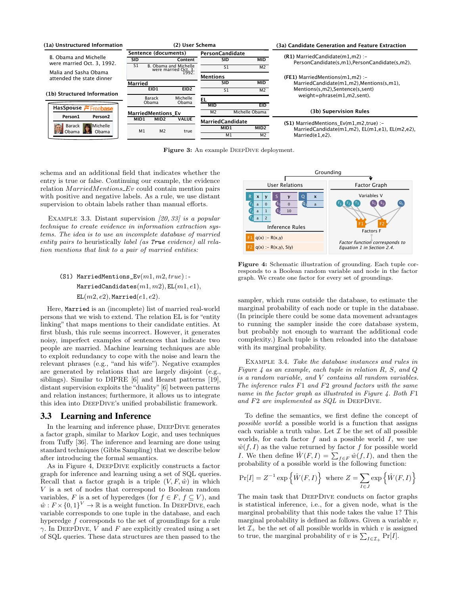| (1a) Unstructured Information                        | (2) User Schema                                                                               |                                  |                              |                                    | (3a) Candidate Generation and Feature Extraction                     |  |
|------------------------------------------------------|-----------------------------------------------------------------------------------------------|----------------------------------|------------------------------|------------------------------------|----------------------------------------------------------------------|--|
| B. Obama and Michelle<br>were married Oct. 3, 1992.  | Sentence (documents)                                                                          |                                  | <b>PersonCandidate</b>       |                                    | $(R1)$ Married Candidate $(m1,m2)$ :-                                |  |
|                                                      | SID                                                                                           | Content                          |                              | <b>MID</b>                         | PersonCandidate(s,m1), PersonCandidate(s,m2).                        |  |
|                                                      | S <sub>1</sub><br>B. Obama and Michelle<br>Jbama anu wiki 3,<br>were married Oct. 3,<br>1992. |                                  | S <sub>1</sub>               | M <sub>2</sub>                     |                                                                      |  |
| Malia and Sasha Obama<br>attended the state dinner   |                                                                                               |                                  | <b>Mentions</b>              |                                    | $(FE1)$ MarriedMentions(m1.m2) :-                                    |  |
|                                                      | Married                                                                                       |                                  | <b>SID</b>                   | <b>MID</b>                         | MarriedCandidate(m1,m2), Mentions(s,m1),                             |  |
| (1b) Structured Information                          | EID <sub>1</sub>                                                                              | EID <sub>2</sub>                 | S <sub>1</sub>               | M <sub>2</sub>                     | Mentions(s,m2), Sentence(s, sent)                                    |  |
|                                                      | Barack<br>Obama                                                                               | Michelle<br>Obama                | <b>EL</b>                    |                                    | $weight = phrase(m1, m2, sent).$                                     |  |
| HasSpouse Freebase<br>Person <sub>2</sub><br>Person1 | <b>MarriedMentions Ev</b>                                                                     |                                  | <b>MID</b><br>M <sub>2</sub> | <b>EID</b><br>Michelle Obama       | (3b) Supervision Rules                                               |  |
| Barack <b>Michelle</b><br>. Obama<br>Obama           | MID1                                                                                          | <b>VALUE</b><br>MID <sub>2</sub> |                              | <b>MarriedCandidate</b>            | $(S1)$ MarriedMentions Ev(m1,m2,true) :-                             |  |
|                                                      | M <sub>1</sub>                                                                                | M <sub>2</sub><br>true           | MID1<br>M <sub>1</sub>       | MID <sub>2</sub><br>M <sub>2</sub> | MarriedCandidate(m1,m2), EL(m1,e1), EL(m2,e2),<br>$Married(e1,e2)$ . |  |

Figure 3: An example DEEPDIVE deployment.

schema and an additional field that indicates whether the entry is true or false. Continuing our example, the evidence relation  $MarriedMentions$  Ev could contain mention pairs with positive and negative labels. As a rule, we use distant supervision to obtain labels rather than manual efforts.

EXAMPLE 3.3. Distant supervision  $[20, 33]$  is a popular technique to create evidence in information extraction systems. The idea is to use an incomplete database of married entity pairs to heuristically *label (as True evidence)* all relation mentions that link to a pair of married entities:

## (S1) MarriedMentions\_Ev $(m1, m2, true)$ :-MarriedCandidates $(m1, m2)$ , EL $(m1, e1)$ ,  $EL(m2, e2),$  Married $(e1, e2)$ .

Here, Married is an (incomplete) list of married real-world persons that we wish to extend. The relation EL is for "entity linking" that maps mentions to their candidate entities. At first blush, this rule seems incorrect. However, it generates noisy, imperfect examples of sentences that indicate two people are married. Machine learning techniques are able to exploit redundancy to cope with the noise and learn the relevant phrases (e.g., "and his wife"). Negative examples are generated by relations that are largely disjoint (e.g., siblings). Similar to DIPRE [6] and Hearst patterns [19], distant supervision exploits the "duality"[6] between patterns and relation instances; furthermore, it allows us to integrate this idea into DeepDive's unified probabilistic framework.

#### 3.3 Learning and Inference

In the learning and inference phase, DeepDive generates a factor graph, similar to Markov Logic, and uses techniques from Tuffy [36]. The inference and learning are done using standard techniques (Gibbs Sampling) that we describe below after introducing the formal semantics.

As in Figure 4, DeepDive explicitly constructs a factor graph for inference and learning using a set of SQL queries. Recall that a factor graph is a triple  $(V, F, \hat{w})$  in which V is a set of nodes that correspond to Boolean random variables, F is a set of hyperedges (for  $f \in F$ ,  $f \subseteq V$ ), and  $\hat{w}: F \times \{0,1\}^V \to \mathbb{R}$  is a weight function. In DEEPDIVE, each variable corresponds to one tuple in the database, and each hyperedge  $f$  corresponds to the set of groundings for a rule  $\gamma$ . In DEEPDIVE, V and F are explicitly created using a set of SQL queries. These data structures are then passed to the



Figure 4: Schematic illustration of grounding. Each tuple corresponds to a Boolean random variable and node in the factor graph. We create one factor for every set of groundings.

sampler, which runs outside the database, to estimate the marginal probability of each node or tuple in the database. (In principle there could be some data movement advantages to running the sampler inside the core database system, but probably not enough to warrant the additional code complexity.) Each tuple is then reloaded into the database with its marginal probability.

Example 3.4. Take the database instances and rules in Figure  $4$  as an example, each tuple in relation  $R$ ,  $S$ , and  $Q$ is a random variable, and V contains all random variables. The inference rules  $F1$  and  $F2$  ground factors with the same name in the factor graph as illustrated in Figure 4. Both F1 and F2 are implemented as SQL in DEEPDIVE.

To define the semantics, we first define the concept of possible world: a possible world is a function that assigns each variable a truth value. Let  $\mathcal I$  be the set of all possible worlds, for each factor  $f$  and a possible world  $I$ , we use  $\hat{w}(f, I)$  as the value returned by factor f for possible world *I*. We then define  $\hat{W}(F, I) = \sum_{f \in F} \hat{w}(f, I)$ , and then the probability of a possible world is the following function:

$$
\Pr[I] = Z^{-1} \exp\left\{\hat{W}(F,I)\right\} \text{ where } Z = \sum_{I \in J} \exp\left\{\hat{W}(F,I)\right\}
$$

The main task that DeepDive conducts on factor graphs is statistical inference, i.e., for a given node, what is the marginal probability that this node takes the value 1? This marginal probability is defined as follows. Given a variable  $v$ , let  $\mathcal{I}_+$  be the set of all possible worlds in which v is assigned to true, the marginal probability of v is  $\sum_{I \in \mathcal{I}_+} \Pr[I].$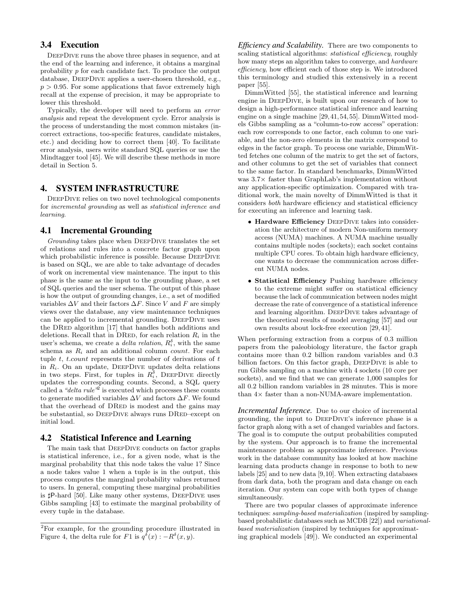# 3.4 Execution

DEEPDIVE runs the above three phases in sequence, and at the end of the learning and inference, it obtains a marginal probability p for each candidate fact. To produce the output database, DeepDive applies a user-chosen threshold, e.g.,  $p > 0.95$ . For some applications that favor extremely high recall at the expense of precision, it may be appropriate to lower this threshold.

Typically, the developer will need to perform an error analysis and repeat the development cycle. Error analysis is the process of understanding the most common mistakes (incorrect extractions, too-specific features, candidate mistakes, etc.) and deciding how to correct them [40]. To facilitate error analysis, users write standard SQL queries or use the Mindtagger tool [45]. We will describe these methods in more detail in Section 5.

#### 4. SYSTEM INFRASTRUCTURE

DeepDive relies on two novel technological components for incremental grounding as well as statistical inference and learning.

## 4.1 Incremental Grounding

Grounding takes place when DeepDive translates the set of relations and rules into a concrete factor graph upon which probabilistic inference is possible. Because DEEPDIVE is based on SQL, we are able to take advantage of decades of work on incremental view maintenance. The input to this phase is the same as the input to the grounding phase, a set of SQL queries and the user schema. The output of this phase is how the output of grounding changes, i.e., a set of modified variables  $\Delta V$  and their factors  $\Delta F$ . Since V and F are simply views over the database, any view maintenance techniques can be applied to incremental grounding. DeepDive uses the DRED algorithm [17] that handles both additions and deletions. Recall that in DRED, for each relation  $R_i$  in the user's schema, we create a *delta relation*,  $R_i^{\delta}$ , with the same schema as  $R_i$  and an additional column *count*. For each tuple  $t$ ,  $t$ .count represents the number of derivations of  $t$ in  $R_i$ . On an update, DEEPDIVE updates delta relations in two steps. First, for tuples in  $R_i^{\delta}$ , DEEPDIVE directly updates the corresponding counts. Second, a SQL query called a "*delta rule*" is executed which processes these counts to generate modified variables  $\Delta V$  and factors  $\Delta F$ . We found that the overhead of DRED is modest and the gains may be substantial, so DEEPDIVE always runs DRED–except on initial load.

## 4.2 Statistical Inference and Learning

The main task that DeepDive conducts on factor graphs is statistical inference, i.e., for a given node, what is the marginal probability that this node takes the value 1? Since a node takes value 1 when a tuple is in the output, this process computes the marginal probability values returned to users. In general, computing these marginal probabilities is  $\sharp$ P-hard [50]. Like many other systems, DEEPDIVE uses Gibbs sampling [43] to estimate the marginal probability of every tuple in the database.

*Efficiency and Scalability.* There are two components to scaling statistical algorithms: *statistical efficiency*, roughly how many steps an algorithm takes to converge, and hardware efficiency, how efficient each of those step is. We introduced this terminology and studied this extensively in a recent paper [55].

DimmWitted [55], the statistical inference and learning engine in DeepDive, is built upon our research of how to design a high-performance statistical inference and learning engine on a single machine [29, 41, 54, 55]. DimmWitted models Gibbs sampling as a "column-to-row access" operation: each row corresponds to one factor, each column to one variable, and the non-zero elements in the matrix correspond to edges in the factor graph. To process one variable, DimmWitted fetches one column of the matrix to get the set of factors, and other columns to get the set of variables that connect to the same factor. In standard benchmarks, DimmWitted was 3.7× faster than GraphLab's implementation without any application-specific optimization. Compared with traditional work, the main novelty of DimmWitted is that it considers both hardware efficiency and statistical efficiency for executing an inference and learning task.

- Hardware Efficiency DeepDive takes into consideration the architecture of modern Non-uniform memory access (NUMA) machines. A NUMA machine usually contains multiple nodes (sockets); each socket contains multiple CPU cores. To obtain high hardware efficiency, one wants to decrease the communication across different NUMA nodes.
- Statistical Efficiency Pushing hardware efficiency to the extreme might suffer on statistical efficiency because the lack of communication between nodes might decrease the rate of convergence of a statistical inference and learning algorithm. DeepDive takes advantage of the theoretical results of model averaging [57] and our own results about lock-free execution [29, 41].

When performing extraction from a corpus of 0.3 million papers from the paleobiology literature, the factor graph contains more than 0.2 billion random variables and 0.3 billion factors. On this factor graph, DeepDive is able to run Gibbs sampling on a machine with 4 sockets (10 core per sockets), and we find that we can generate 1,000 samples for all 0.2 billion random variables in 28 minutes. This is more than 4× faster than a non-NUMA-aware implementation.

*Incremental Inference.* Due to our choice of incremental grounding, the input to DeepDive's inference phase is a factor graph along with a set of changed variables and factors. The goal is to compute the output probabilities computed by the system. Our approach is to frame the incremental maintenance problem as approximate inference. Previous work in the database community has looked at how machine learning data products change in response to both to new labels [25] and to new data [9,10]. When extracting databases from dark data, both the program and data change on each iteration. Our system can cope with both types of change simultaneously.

There are two popular classes of approximate inference techniques: sampling-based materialization (inspired by samplingbased probabilistic databases such as MCDB [22]) and variationalbased materialization (inspired by techniques for approximating graphical models [49]). We conducted an experimental

<sup>2</sup>For example, for the grounding procedure illustrated in Figure 4, the delta rule for F1 is  $q^{\delta}(x)$  :  $-R^{\delta}(x, y)$ .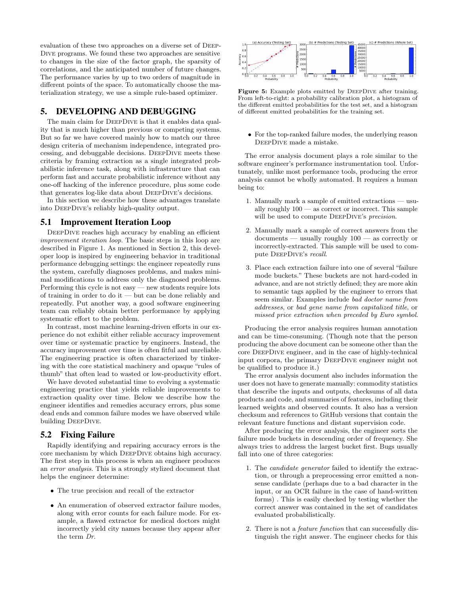evaluation of these two approaches on a diverse set of Deep-Dive programs. We found these two approaches are sensitive to changes in the size of the factor graph, the sparsity of correlations, and the anticipated number of future changes. The performance varies by up to two orders of magnitude in different points of the space. To automatically choose the materialization strategy, we use a simple rule-based optimizer.

# 5. DEVELOPING AND DEBUGGING

The main claim for DeepDive is that it enables data quality that is much higher than previous or competing systems. But so far we have covered mainly how to match our three design criteria of mechanism independence, integrated processing, and debuggable decisions. DeepDive meets these criteria by framing extraction as a single integrated probabilistic inference task, along with infrastructure that can perform fast and accurate probabilistic inference without any one-off hacking of the inference procedure, plus some code that generates log-like data about DeepDive's decisions.

In this section we describe how these advantages translate into DeepDive's reliably high-quality output.

## 5.1 Improvement Iteration Loop

DEEPDIVE reaches high accuracy by enabling an efficient improvement iteration loop. The basic steps in this loop are described in Figure 1. As mentioned in Section 2, this developer loop is inspired by engineering behavior in traditional performance debugging settings: the engineer repeatedly runs the system, carefully diagnoses problems, and makes minimal modifications to address only the diagnosed problems. Performing this cycle is not easy — new students require lots of training in order to do it — but can be done reliably and repeatedly. Put another way, a good software engineering team can reliably obtain better performance by applying systematic effort to the problem.

In contrast, most machine learning-driven efforts in our experience do not exhibit either reliable accuracy improvement over time or systematic practice by engineers. Instead, the accuracy improvement over time is often fitful and unreliable. The engineering practice is often characterized by tinkering with the core statistical machinery and opaque "rules of thumb" that often lead to wasted or low-productivity effort.

We have devoted substantial time to evolving a systematic engineering practice that yields reliable improvements to extraction quality over time. Below we describe how the engineer identifies and remedies accuracy errors, plus some dead ends and common failure modes we have observed while building DeepDive.

## 5.2 Fixing Failure

Rapidly identifying and repairing accuracy errors is the core mechanism by which DeepDive obtains high accuracy. The first step in this process is when an engineer produces an error analysis. This is a strongly stylized document that helps the engineer determine:

- The true precision and recall of the extractor
- An enumeration of observed extractor failure modes, along with error counts for each failure mode. For example, a flawed extractor for medical doctors might incorrectly yield city names because they appear after the term Dr.



Figure 5: Example plots emitted by DEEPDIVE after training. From left-to-right: a probability calibration plot, a histogram of the different emitted probabilities for the test set, and a histogram of different emitted probabilities for the training set.

• For the top-ranked failure modes, the underlying reason DeepDive made a mistake.

The error analysis document plays a role similar to the software engineer's performance instrumentation tool. Unfortunately, unlike most performance tools, producing the error analysis cannot be wholly automated. It requires a human being to:

- 1. Manually mark a sample of emitted extractions usually roughly  $100$  — as correct or incorrect. This sample will be used to compute DEEPDIVE's *precision*.
- 2. Manually mark a sample of correct answers from the documents — usually roughly 100 — as correctly or incorrectly-extracted. This sample will be used to compute DeepDive's recall.
- 3. Place each extraction failure into one of several "failure mode buckets." These buckets are not hard-coded in advance, and are not strictly defined; they are more akin to semantic tags applied by the engineer to errors that seem similar. Examples include bad doctor name from addresses, or bad gene name from capitalized title, or missed price extraction when preceded by Euro symbol.

Producing the error analysis requires human annotation and can be time-consuming. (Though note that the person producing the above document can be someone other than the core DeepDive engineer, and in the case of highly-technical input corpora, the primary DeepDive engineer might not be qualified to produce it.)

The error analysis document also includes information the user does not have to generate manually: commodity statistics that describe the inputs and outputs, checksums of all data products and code, and summaries of features, including their learned weights and observed counts. It also has a version checksum and references to GitHub versions that contain the relevant feature functions and distant supervision code.

After producing the error analysis, the engineer sorts the failure mode buckets in descending order of frequency. She always tries to address the largest bucket first. Bugs usually fall into one of three categories:

- 1. The candidate generator failed to identify the extraction, or through a preprocessing error emitted a nonsense candidate (perhaps due to a bad character in the input, or an OCR failure in the case of hand-written forms) . This is easily checked by testing whether the correct answer was contained in the set of candidates evaluated probabilistically.
- 2. There is not a feature function that can successfully distinguish the right answer. The engineer checks for this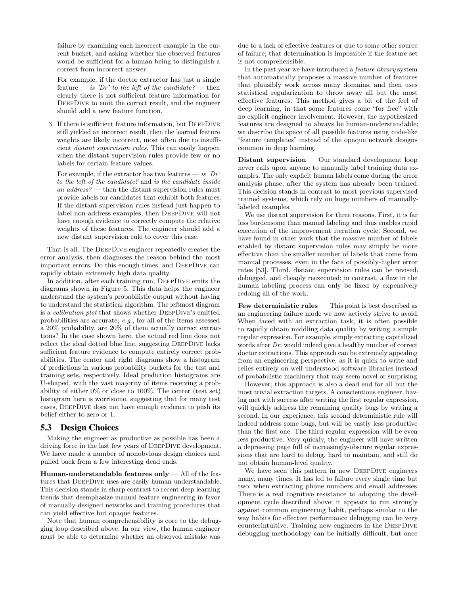failure by examining each incorrect example in the current bucket, and asking whether the observed features would be sufficient for a human being to distinguish a correct from incorrect answer.

For example, if the doctor extractor has just a single feature — is 'Dr' to the left of the candidate? — then clearly there is not sufficient feature information for DEEPDIVE to emit the correct result, and the engineer should add a new feature function.

3. If there is sufficient feature information, but DeepDive still yielded an incorrect result, then the learned feature weights are likely incorrect, most often due to insufficient distant supervision rules. This can easily happen when the distant supervision rules provide few or no labels for certain feature values.

For example, if the extractor has two features — is 'Dr' to the left of the candidate? and is the candidate inside an address? — then the distant supervision rules must provide labels for candidates that exhibit both features. If the distant supervision rules instead just happen to label non-address examples, then DeepDive will not have enough evidence to correctly compute the relative weights of these features. The engineer should add a new distant supervision rule to cover this case.

That is all. The DeepDive engineer repeatedly creates the error analysis, then diagnoses the reason behind the most important errors. Do this enough times, and DeepDive can rapidly obtain extremely high data quality.

In addition, after each training run, DeepDive emits the diagrams shown in Figure 5. This data helps the engineer understand the system's probabilistic output without having to understand the statistical algorithm. The leftmost diagram is a calibration plot that shows whether DeepDive's emitted probabilities are accurate; e.g., for all of the items assessed a 20% probability, are 20% of them actually correct extractions? In the case shown here, the actual red line does not reflect the ideal dotted blue line, suggesting DeepDive lacks sufficient feature evidence to compute entirely correct probabilities. The center and right diagrams show a histogram of predictions in various probability buckets for the test and training sets, respectively. Ideal prediction histograms are U-shaped, with the vast majority of items receiving a probability of either 0% or close to 100%. The center (test set) histogram here is worrisome, suggesting that for many test cases, DeepDive does not have enough evidence to push its belief either to zero or 1.

#### 5.3 Design Choices

Making the engineer as productive as possible has been a driving force in the last few years of DeepDive development. We have made a number of nonobvious design choices and pulled back from a few interesting dead ends.

**Human-understandable features only**  $-$  All of the features that DeepDive uses are easily human-understandable. This decision stands in sharp contrast to recent deep learning trends that deemphasize manual feature engineering in favor of manually-designed networks and training procedures that can yield effective but opaque features.

Note that human comprehensibility is core to the debugging loop described above. In our view, the human engineer must be able to determine whether an observed mistake was

due to a lack of effective features or due to some other source of failure; that determination is impossible if the feature set is not comprehensible.

In the past year we have introduced a feature library system that automatically proposes a massive number of features that plausibly work across many domains, and then uses statistical regularization to throw away all but the most effective features. This method gives a bit of the feel of deep learning, in that some features come "for free" with no explicit engineer involvement. However, the hypothesized features are designed to always be human-understandable; we describe the space of all possible features using code-like "feature templates" instead of the opaque network designs common in deep learning.

Distant supervision — Our standard development loop never calls upon anyone to manually label training data examples. The only explicit human labels come during the error analysis phase, after the system has already been trained. This decision stands in contrast to most previous supervised trained systems, which rely on huge numbers of manuallylabeled examples.

We use distant supervision for three reasons. First, it is far less burdensome than manual labeling and thus enables rapid execution of the improvement iteration cycle. Second, we have found in other work that the massive number of labels enabled by distant supervision rules may simply be more effective than the smaller number of labels that come from manual processes, even in the face of possibly-higher error rates [53]. Third, distant supervision rules can be revised, debugged, and cheaply reexecuted; in contrast, a flaw in the human labeling process can only be fixed by expensively redoing all of the work.

Few deterministic rules  $-$  This point is best described as an engineering failure mode we now actively strive to avoid. When faced with an extraction task, it is often possible to rapidly obtain middling data quality by writing a simple regular expression. For example, simply extracting capitalized words after Dr. would indeed give a healthy number of correct doctor extractions. This approach can be extremely appealing from an engineering perspective, as it is quick to write and relies entirely on well-understood software libraries instead of probabilistic machinery that may seem novel or surprising.

However, this approach is also a dead end for all but the most trivial extraction targets. A conscientious engineer, having met with success after writing the first regular expression, will quickly address the remaining quality bugs by writing a second. In our experience, this second deterministic rule will indeed address some bugs, but will be vastly less productive than the first one. The third regular expression will be even less productive. Very quickly, the engineer will have written a depressing page full of increasingly-obscure regular expressions that are hard to debug, hard to maintain, and still do not obtain human-level quality.

We have seen this pattern in new DeepDive engineers many, many times. It has led to failure every single time but two: when extracting phone numbers and email addresses. There is a real cognitive resistance to adopting the development cycle described above; it appears to run strongly against common engineering habit, perhaps similar to the way habits for effective performance debugging can be very counterintuitive. Training new engineers in the DeepDive debugging methodology can be initially difficult, but once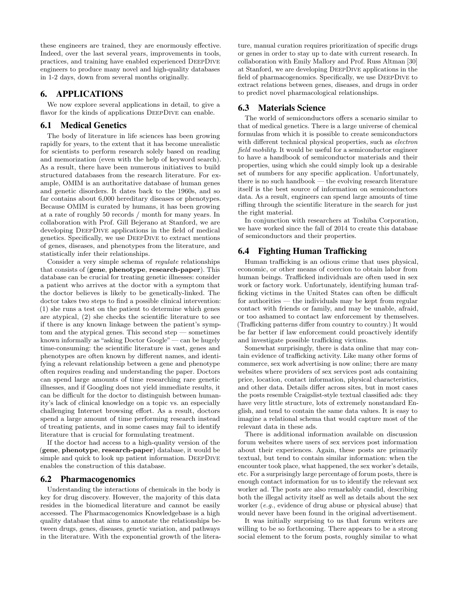these engineers are trained, they are enormously effective. Indeed, over the last several years, improvements in tools, practices, and training have enabled experienced DeepDive engineers to produce many novel and high-quality databases in 1-2 days, down from several months originally.

## 6. APPLICATIONS

We now explore several applications in detail, to give a flavor for the kinds of applications DEEPDIVE can enable.

#### 6.1 Medical Genetics

The body of literature in life sciences has been growing rapidly for years, to the extent that it has become unrealistic for scientists to perform research solely based on reading and memorization (even with the help of keyword search). As a result, there have been numerous initiatives to build structured databases from the research literature. For example, OMIM is an authoritative database of human genes and genetic disorders. It dates back to the 1960s, and so far contains about 6,000 hereditary diseases or phenotypes. Because OMIM is curated by humans, it has been growing at a rate of roughly 50 records / month for many years. In collaboration with Prof. Gill Bejerano at Stanford, we are developing DeepDive applications in the field of medical genetics. Specifically, we use DeepDive to extract mentions of genes, diseases, and phenotypes from the literature, and statistically infer their relationships.

Consider a very simple schema of regulate relationships that consists of (gene, phenotype, research-paper). This database can be crucial for treating genetic illnesses: consider a patient who arrives at the doctor with a symptom that the doctor believes is likely to be genetically-linked. The doctor takes two steps to find a possible clinical intervention: (1) she runs a test on the patient to determine which genes are atypical, (2) she checks the scientific literature to see if there is any known linkage between the patient's symptom and the atypical genes. This second step  $-$  sometimes known informally as "asking Doctor Google"— can be hugely time-consuming: the scientific literature is vast, genes and phenotypes are often known by different names, and identifying a relevant relationship between a gene and phenotype often requires reading and understanding the paper. Doctors can spend large amounts of time researching rare genetic illnesses, and if Googling does not yield immediate results, it can be difficult for the doctor to distinguish between humanity's lack of clinical knowledge on a topic vs. an especially challenging Internet browsing effort. As a result, doctors spend a large amount of time performing research instead of treating patients, and in some cases may fail to identify literature that is crucial for formulating treatment.

If the doctor had access to a high-quality version of the (gene, phenotype, research-paper) database, it would be simple and quick to look up patient information. DEEPDIVE enables the construction of this database.

#### 6.2 Pharmacogenomics

Understanding the interactions of chemicals in the body is key for drug discovery. However, the majority of this data resides in the biomedical literature and cannot be easily accessed. The Pharmacogenomics Knowledgebase is a high quality database that aims to annotate the relationships between drugs, genes, diseases, genetic variation, and pathways in the literature. With the exponential growth of the literature, manual curation requires prioritization of specific drugs or genes in order to stay up to date with current research. In collaboration with Emily Mallory and Prof. Russ Altman [30] at Stanford, we are developing DeepDive applications in the field of pharmacogenomics. Specifically, we use DeepDive to extract relations between genes, diseases, and drugs in order to predict novel pharmacological relationships.

## 6.3 Materials Science

The world of semiconductors offers a scenario similar to that of medical genetics. There is a large universe of chemical formulas from which it is possible to create semiconductors with different technical physical properties, such as *electron* field mobility. It would be useful for a semiconductor engineer to have a handbook of semiconductor materials and their properties, using which she could simply look up a desirable set of numbers for any specific application. Unfortunately, there is no such handbook — the evolving research literature itself is the best source of information on semiconductors data. As a result, engineers can spend large amounts of time rifling through the scientific literature in the search for just the right material.

In conjunction with researchers at Toshiba Corporation, we have worked since the fall of 2014 to create this database of semiconductors and their properties.

## 6.4 Fighting Human Trafficking

Human trafficking is an odious crime that uses physical, economic, or other means of coercion to obtain labor from human beings. Trafficked individuals are often used in sex work or factory work. Unfortunately, identifying human trafficking victims in the United States can often be difficult for authorities — the individuals may be kept from regular contact with friends or family, and may be unable, afraid, or too ashamed to contact law enforcement by themselves. (Trafficking patterns differ from country to country.) It would be far better if law enforcement could proactively identify and investigate possible trafficking victims.

Somewhat surprisingly, there is data online that may contain evidence of trafficking activity. Like many other forms of commerce, sex work advertising is now online; there are many websites where providers of sex services post ads containing price, location, contact information, physical characteristics, and other data. Details differ across sites, but in most cases the posts resemble Craigslist-style textual classified ads: they have very little structure, lots of extremely nonstandard English, and tend to contain the same data values. It is easy to imagine a relational schema that would capture most of the relevant data in these ads.

There is additional information available on discussion forum websites where users of sex services post information about their experiences. Again, these posts are primarily textual, but tend to contain similar information: when the encounter took place, what happened, the sex worker's details, etc. For a surprisingly large percentage of forum posts, there is enough contact information for us to identify the relevant sex worker ad. The posts are also remarkably candid, describing both the illegal activity itself as well as details about the sex worker (e.g., evidence of drug abuse or physical abuse) that would never have been found in the original advertisement.

It was initially surprising to us that forum writers are willing to be so forthcoming. There appears to be a strong social element to the forum posts, roughly similar to what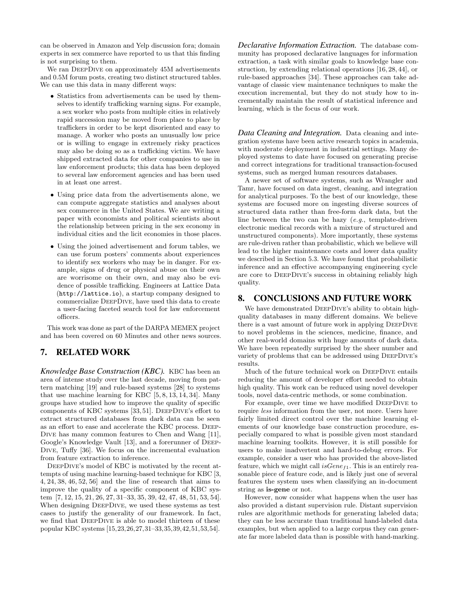can be observed in Amazon and Yelp discussion fora; domain experts in sex commerce have reported to us that this finding is not surprising to them.

We ran DEEPDIVE on approximately 45M advertisements and 0.5M forum posts, creating two distinct structured tables. We can use this data in many different ways:

- Statistics from advertisements can be used by themselves to identify trafficking warning signs. For example, a sex worker who posts from multiple cities in relatively rapid succession may be moved from place to place by traffickers in order to be kept disoriented and easy to manage. A worker who posts an unusually low price or is willing to engage in extremely risky practices may also be doing so as a trafficking victim. We have shipped extracted data for other companies to use in law enforcement products; this data has been deployed to several law enforcement agencies and has been used in at least one arrest.
- Using price data from the advertisements alone, we can compute aggregate statistics and analyses about sex commerce in the United States. We are writing a paper with economists and political scientists about the relationship between pricing in the sex economy in individual cities and the licit economies in those places.
- Using the joined advertisement and forum tables, we can use forum posters' comments about experiences to identify sex workers who may be in danger. For example, signs of drug or physical abuse on their own are worrisome on their own, and may also be evidence of possible trafficking. Engineers at Lattice Data (http://lattice.io), a startup company designed to commercialize DeepDive, have used this data to create a user-facing faceted search tool for law enforcement officers.

This work was done as part of the DARPA MEMEX project and has been covered on 60 Minutes and other news sources.

# 7. RELATED WORK

*Knowledge Base Construction (KBC).* KBC has been an area of intense study over the last decade, moving from pattern matching [19] and rule-based systems [28] to systems that use machine learning for KBC [5, 8, 13, 14, 34]. Many groups have studied how to improve the quality of specific components of KBC systems [33, 51]. DeepDive's effort to extract structured databases from dark data can be seen as an effort to ease and accelerate the KBC process. DEEP-Dive has many common features to Chen and Wang [11], Google's Knowledge Vault [13], and a forerunner of DEEP-Dive, Tuffy [36]. We focus on the incremental evaluation from feature extraction to inference.

DeepDive's model of KBC is motivated by the recent attempts of using machine learning-based technique for KBC [3, 4, 24, 38, 46, 52, 56] and the line of research that aims to improve the quality of a specific component of KBC system [7, 12, 15, 21, 26, 27, 31–33, 35, 39, 42, 47, 48, 51, 53, 54]. When designing DeepDive, we used these systems as test cases to justify the generality of our framework. In fact, we find that DeepDive is able to model thirteen of these popular KBC systems [15,23,26,27,31–33,35,39,42,51,53,54].

*Declarative Information Extraction.* The database community has proposed declarative languages for information extraction, a task with similar goals to knowledge base construction, by extending relational operations [16, 28, 44], or rule-based approaches [34]. These approaches can take advantage of classic view maintenance techniques to make the execution incremental, but they do not study how to incrementally maintain the result of statistical inference and learning, which is the focus of our work.

*Data Cleaning and Integration.* Data cleaning and integration systems have been active research topics in academia, with moderate deployment in industrial settings. Many deployed systems to date have focused on generating precise and correct integrations for traditional transaction-focused systems, such as merged human resources databases.

A newer set of software systems, such as Wrangler and Tamr, have focused on data ingest, cleaning, and integration for analytical purposes. To the best of our knowledge, these systems are focused more on ingesting diverse sources of structured data rather than free-form dark data, but the line between the two can be hazy (e.g., template-driven electronic medical records with a mixture of structured and unstructured components). More importantly, these systems are rule-driven rather than probabilistic, which we believe will lead to the higher maintenance costs and lower data quality we described in Section 5.3. We have found that probabilistic inference and an effective accompanying engineering cycle are core to DeepDive's success in obtaining reliably high quality.

# 8. CONCLUSIONS AND FUTURE WORK

We have demonstrated DEEPDIVE's ability to obtain highquality databases in many different domains. We believe there is a vast amount of future work in applying DeepDive to novel problems in the sciences, medicine, finance, and other real-world domains with huge amounts of dark data. We have been repeatedly surprised by the sheer number and variety of problems that can be addressed using DeepDive's results.

Much of the future technical work on DeepDive entails reducing the amount of developer effort needed to obtain high quality. This work can be reduced using novel developer tools, novel data-centric methods, or some combination.

For example, over time we have modified DeepDive to require less information from the user, not more. Users have fairly limited direct control over the machine learning elements of our knowledge base construction procedure, especially compared to what is possible given most standard machine learning toolkits. However, it is still possible for users to make inadvertent and hard-to-debug errors. For example, consider a user who has provided the above-listed feature, which we might call  $isGene_{f1}$ . This is an entirely reasonable piece of feature code, and is likely just one of several features the system uses when classifying an in-document string as is-gene or not.

However, now consider what happens when the user has also provided a distant supervision rule. Distant supervision rules are algorithmic methods for generating labeled data; they can be less accurate than traditional hand-labeled data examples, but when applied to a large corpus they can generate far more labeled data than is possible with hand-marking.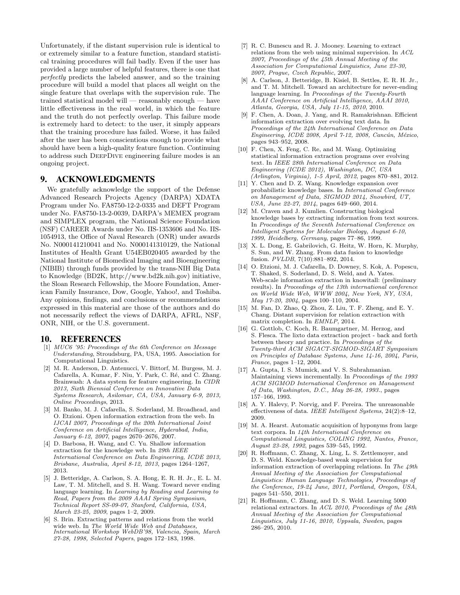Unfortunately, if the distant supervision rule is identical to or extremely similar to a feature function, standard statistical training procedures will fail badly. Even if the user has provided a large number of helpful features, there is one that perfectly predicts the labeled answer, and so the training procedure will build a model that places all weight on the single feature that overlaps with the supervision rule. The trained statistical model will — reasonably enough — have little effectiveness in the real world, in which the feature and the truth do not perfectly overlap. This failure mode is extremely hard to detect: to the user, it simply appears that the training procedure has failed. Worse, it has failed after the user has been conscientious enough to provide what should have been a high-quality feature function. Continuing to address such DeepDive engineering failure modes is an ongoing project.

## 9. ACKNOWLEDGMENTS

We gratefully acknowledge the support of the Defense Advanced Research Projects Agency (DARPA) XDATA Program under No. FA8750-12-2-0335 and DEFT Program under No. FA8750-13-2-0039, DARPA's MEMEX program and SIMPLEX program, the National Science Foundation (NSF) CAREER Awards under No. IIS-1353606 and No. IIS-1054913, the Office of Naval Research (ONR) under awards No. N000141210041 and No. N000141310129, the National Institutes of Health Grant U54EB020405 awarded by the National Institute of Biomedical Imaging and Bioengineering (NIBIB) through funds provided by the trans-NIH Big Data to Knowledge (BD2K, http://www.bd2k.nih.gov) initiative, the Sloan Research Fellowship, the Moore Foundation, American Family Insurance, Dow, Google, Yahoo!, and Toshiba. Any opinions, findings, and conclusions or recommendations expressed in this material are those of the authors and do not necessarily reflect the views of DARPA, AFRL, NSF, ONR, NIH, or the U.S. government.

#### 10. REFERENCES

- [1] MUC6 '95: Proceedings of the 6th Conference on Message Understanding, Stroudsburg, PA, USA, 1995. Association for Computational Linguistics.
- [2] M. R. Anderson, D. Antenucci, V. Bittorf, M. Burgess, M. J. Cafarella, A. Kumar, F. Niu, Y. Park, C. Ré, and C. Zhang. Brainwash: A data system for feature engineering. In CIDR 2013, Sixth Biennial Conference on Innovative Data Systems Research, Asilomar, CA, USA, January 6-9, 2013, Online Proceedings, 2013.
- [3] M. Banko, M. J. Cafarella, S. Soderland, M. Broadhead, and O. Etzioni. Open information extraction from the web. In IJCAI 2007, Proceedings of the 20th International Joint Conference on Artificial Intelligence, Hyderabad, India, January 6-12, 2007, pages 2670–2676, 2007.
- [4] D. Barbosa, H. Wang, and C. Yu. Shallow information extraction for the knowledge web. In 29th IEEE International Conference on Data Engineering, ICDE 2013, Brisbane, Australia, April 8-12, 2013, pages 1264–1267, 2013.
- [5] J. Betteridge, A. Carlson, S. A. Hong, E. R. H. Jr., E. L. M. Law, T. M. Mitchell, and S. H. Wang. Toward never ending language learning. In Learning by Reading and Learning to Read, Papers from the 2009 AAAI Spring Symposium, Technical Report SS-09-07, Stanford, California, USA, March 23-25, 2009, pages 1–2, 2009.
- [6] S. Brin. Extracting patterns and relations from the world wide web. In The World Wide Web and Databases, International Workshop WebDB'98, Valencia, Spain, March 27-28, 1998, Selected Papers, pages 172–183, 1998.
- [7] R. C. Bunescu and R. J. Mooney. Learning to extract relations from the web using minimal supervision. In ACL 2007, Proceedings of the 45th Annual Meeting of the Association for Computational Linguistics, June 23-30, 2007, Prague, Czech Republic, 2007.
- [8] A. Carlson, J. Betteridge, B. Kisiel, B. Settles, E. R. H. Jr., and T. M. Mitchell. Toward an architecture for never-ending language learning. In Proceedings of the Twenty-Fourth AAAI Conference on Artificial Intelligence, AAAI 2010, Atlanta, Georgia, USA, July 11-15, 2010, 2010.
- [9] F. Chen, A. Doan, J. Yang, and R. Ramakrishnan. Efficient information extraction over evolving text data. In Proceedings of the 24th International Conference on Data  $Enqineering, ICDE 2008, April 7-12, 2008, Cancún, México,$ pages 943–952, 2008.
- [10] F. Chen, X. Feng, C. Re, and M. Wang. Optimizing statistical information extraction programs over evolving text. In IEEE 28th International Conference on Data Engineering (ICDE 2012), Washington, DC, USA (Arlington, Virginia), 1-5 April, 2012, pages 870–881, 2012.
- [11] Y. Chen and D. Z. Wang. Knowledge expansion over probabilistic knowledge bases. In International Conference on Management of Data, SIGMOD 2014, Snowbird, UT. USA, June 22-27, 2014, pages 649–660, 2014.
- [12] M. Craven and J. Kumlien. Constructing biological knowledge bases by extracting information from text sources. In Proceedings of the Seventh International Conference on Intelligent Systems for Molecular Biology, August 6-10, 1999, Heidelberg, Germany, pages 77–86, 1999.
- [13] X. L. Dong, E. Gabrilovich, G. Heitz, W. Horn, K. Murphy, S. Sun, and W. Zhang. From data fusion to knowledge fusion. PVLDB, 7(10):881–892, 2014.
- [14] O. Etzioni, M. J. Cafarella, D. Downey, S. Kok, A. Popescu, T. Shaked, S. Soderland, D. S. Weld, and A. Yates. Web-scale information extraction in knowitall: (preliminary results). In Proceedings of the 13th international conference on World Wide Web, WWW 2004, New York, NY, USA, May 17-20, 2004, pages 100–110, 2004.
- [15] M. Fan, D. Zhao, Q. Zhou, Z. Liu, T. F. Zheng, and E. Y. Chang. Distant supervision for relation extraction with matrix completion. In EMNLP, 2014.
- [16] G. Gottlob, C. Koch, R. Baumgartner, M. Herzog, and S. Flesca. The lixto data extraction project - back and forth between theory and practice. In Proceedings of the Twenty-third ACM SIGACT-SIGMOD-SIGART Symposium on Principles of Database Systems, June 14-16, 2004, Paris, France, pages 1–12, 2004.
- [17] A. Gupta, I. S. Mumick, and V. S. Subrahmanian. Maintaining views incrementally. In Proceedings of the 1993 ACM SIGMOD International Conference on Management of Data, Washington, D.C., May 26-28, 1993., pages 157–166, 1993.
- [18] A. Y. Halevy, P. Norvig, and F. Pereira. The unreasonable effectiveness of data. IEEE Intelligent Systems, 24(2):8–12, 2009.
- [19] M. A. Hearst. Automatic acquisition of hyponyms from large text corpora. In 14th International Conference on Computational Linguistics, COLING 1992, Nantes, France, August 23-28, 1992, pages 539–545, 1992.
- [20] R. Hoffmann, C. Zhang, X. Ling, L. S. Zettlemoyer, and D. S. Weld. Knowledge-based weak supervision for information extraction of overlapping relations. In The 49th Annual Meeting of the Association for Computational Linguistics: Human Language Technologies, Proceedings of the Conference, 19-24 June, 2011, Portland, Oregon, USA, pages 541–550, 2011.
- [21] R. Hoffmann, C. Zhang, and D. S. Weld. Learning 5000 relational extractors. In ACL 2010, Proceedings of the 48th Annual Meeting of the Association for Computational Linguistics, July 11-16, 2010, Uppsala, Sweden, pages 286–295, 2010.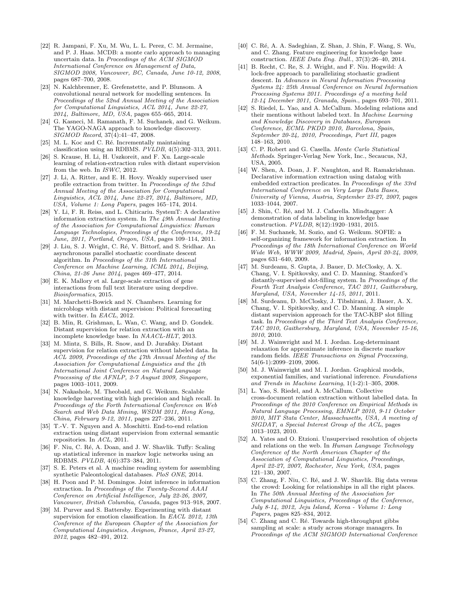- [22] R. Jampani, F. Xu, M. Wu, L. L. Perez, C. M. Jermaine, and P. J. Haas. MCDB: a monte carlo approach to managing uncertain data. In Proceedings of the ACM SIGMOD International Conference on Management of Data, SIGMOD 2008, Vancouver, BC, Canada, June 10-12, 2008, pages 687–700, 2008.
- [23] N. Kalchbrenner, E. Grefenstette, and P. Blunsom. A convolutional neural network for modelling sentences. In Proceedings of the 52nd Annual Meeting of the Association for Computational Linguistics, ACL 2014, June 22-27, 2014, Baltimore, MD, USA, pages 655–665, 2014.
- [24] G. Kasneci, M. Ramanath, F. M. Suchanek, and G. Weikum. The YAGO-NAGA approach to knowledge discovery. SIGMOD Record, 37(4):41–47, 2008.
- [25] M. L. Koc and C. Ré. Incrementally maintaining classification using an RDBMS.  $PVLDB$ ,  $4(5):302-313$ ,  $2011$ .
- [26] S. Krause, H. Li, H. Uszkoreit, and F. Xu. Large-scale learning of relation-extraction rules with distant supervision from the web. In ISWC, 2012.
- [27] J. Li, A. Ritter, and E. H. Hovy. Weakly supervised user profile extraction from twitter. In Proceedings of the 52nd Annual Meeting of the Association for Computational Linguistics, ACL 2014, June 22-27, 2014, Baltimore, MD, USA, Volume 1: Long Papers, pages 165–174, 2014.
- [28] Y. Li, F. R. Reiss, and L. Chiticariu. SystemT: A declarative information extraction system. In The 49th Annual Meeting of the Association for Computational Linguistics: Human Language Technologies, Proceedings of the Conference, 19-24 June, 2011, Portland, Oregon, USA, pages 109–114, 2011.
- [29] J. Liu, S. J. Wright, C. Ré, V. Bittorf, and S. Sridhar. An asynchronous parallel stochastic coordinate descent algorithm. In Proceedings of the 31th International Conference on Machine Learning, ICML 2014, Beijing, China, 21-26 June 2014, pages 469–477, 2014.
- [30] E. K. Mallory et al. Large-scale extraction of gene interactions from full text literature using deepdive. Bioinformatics, 2015.
- [31] M. Marchetti-Bowick and N. Chambers. Learning for microblogs with distant supervision: Political forecasting with twitter. In EACL, 2012.
- [32] B. Min, R. Grishman, L. Wan, C. Wang, and D. Gondek. Distant supervision for relation extraction with an incomplete knowledge base. In NAACL-HLT, 2013.
- [33] M. Mintz, S. Bills, R. Snow, and D. Jurafsky. Distant supervision for relation extraction without labeled data. In ACL 2009, Proceedings of the 47th Annual Meeting of the Association for Computational Linguistics and the 4th International Joint Conference on Natural Language Processing of the AFNLP, 2-7 August 2009, Singapore, pages 1003–1011, 2009.
- [34] N. Nakashole, M. Theobald, and G. Weikum. Scalable knowledge harvesting with high precision and high recall. In Proceedings of the Forth International Conference on Web Search and Web Data Mining, WSDM 2011, Hong Kong, China, February 9-12, 2011, pages 227–236, 2011.
- [35] T.-V. T. Nguyen and A. Moschitti. End-to-end relation extraction using distant supervision from external semantic repositories. In ACL, 2011.
- [36] F. Niu, C. Ré, A. Doan, and J. W. Shavlik. Tuffy: Scaling up statistical inference in markov logic networks using an RDBMS. PVLDB, 4(6):373–384, 2011.
- [37] S. E. Peters et al. A machine reading system for assembling synthetic Paleontological databases. PloS ONE, 2014.
- [38] H. Poon and P. M. Domingos. Joint inference in information extraction. In Proceedings of the Twenty-Second AAAI Conference on Artificial Intelligence, July 22-26, 2007, Vancouver, British Columbia, Canada, pages 913–918, 2007.
- [39] M. Purver and S. Battersby. Experimenting with distant supervision for emotion classification. In EACL 2012, 13th Conference of the European Chapter of the Association for Computational Linguistics, Avignon, France, April 23-27, 2012, pages 482–491, 2012.
- [40] C. Ré, A. A. Sadeghian, Z. Shan, J. Shin, F. Wang, S. Wu, and C. Zhang. Feature engineering for knowledge base construction. IEEE Data Eng. Bull., 37(3):26–40, 2014.
- [41] B. Recht, C. Re, S. J. Wright, and F. Niu. Hogwild: A lock-free approach to parallelizing stochastic gradient descent. In Advances in Neural Information Processing Systems 24: 25th Annual Conference on Neural Information Processing Systems 2011. Proceedings of a meeting held 12-14 December 2011, Granada, Spain., pages 693–701, 2011.
- [42] S. Riedel, L. Yao, and A. McCallum. Modeling relations and their mentions without labeled text. In Machine Learning and Knowledge Discovery in Databases, European Conference, ECML PKDD 2010, Barcelona, Spain, September 20-24, 2010, Proceedings, Part III, pages 148–163, 2010.
- [43] C. P. Robert and G. Casella. Monte Carlo Statistical Methods. Springer-Verlag New York, Inc., Secaucus, NJ, USA, 2005.
- [44] W. Shen, A. Doan, J. F. Naughton, and R. Ramakrishnan. Declarative information extraction using datalog with embedded extraction predicates. In Proceedings of the 33rd International Conference on Very Large Data Bases, University of Vienna, Austria, September 23-27, 2007, pages 1033–1044, 2007.
- [45] J. Shin, C. Ré, and M. J. Cafarella. Mindtagger: A demonstration of data labeling in knowledge base construction. PVLDB, 8(12):1920–1931, 2015.
- [46] F. M. Suchanek, M. Sozio, and G. Weikum. SOFIE: a self-organizing framework for information extraction. In Proceedings of the 18th International Conference on World Wide Web, WWW 2009, Madrid, Spain, April 20-24, 2009, pages 631–640, 2009.
- [47] M. Surdeanu, S. Gupta, J. Bauer, D. McClosky, A. X. Chang, V. I. Spitkovsky, and C. D. Manning. Stanford's distantly-supervised slot-filling system. In Proceedings of the Fourth Text Analysis Conference, TAC 2011, Gaithersburg, Maryland, USA, November 14-15, 2011, 2011.
- [48] M. Surdeanu, D. McClosky, J. Tibshirani, J. Bauer, A. X. Chang, V. I. Spitkovsky, and C. D. Manning. A simple distant supervision approach for the TAC-KBP slot filling task. In Proceedings of the Third Text Analysis Conference, TAC 2010, Gaithersburg, Maryland, USA, November 15-16, 2010, 2010.
- [49] M. J. Wainwright and M. I. Jordan. Log-determinant relaxation for approximate inference in discrete markov random fields. IEEE Transactions on Signal Processing, 54(6-1):2099–2109, 2006.
- [50] M. J. Wainwright and M. I. Jordan. Graphical models, exponential families, and variational inference. Foundations and Trends in Machine Learning, 1(1-2):1–305, 2008.
- [51] L. Yao, S. Riedel, and A. McCallum. Collective cross-document relation extraction without labelled data. In Proceedings of the 2010 Conference on Empirical Methods in Natural Language Processing, EMNLP 2010, 9-11 October 2010, MIT Stata Center, Massachusetts, USA, A meeting of SIGDAT, a Special Interest Group of the ACL, pages 1013–1023, 2010.
- [52] A. Yates and O. Etzioni. Unsupervised resolution of objects and relations on the web. In Human Language Technology Conference of the North American Chapter of the Association of Computational Linguistics, Proceedings, April 22-27, 2007, Rochester, New York, USA, pages 121–130, 2007.
- [53] C. Zhang, F. Niu, C. Ré, and J. W. Shavlik. Big data versus the crowd: Looking for relationships in all the right places. In The 50th Annual Meeting of the Association for Computational Linguistics, Proceedings of the Conference, July 8-14, 2012, Jeju Island, Korea - Volume 1: Long Papers, pages 825–834, 2012.
- [54] C. Zhang and C. Ré. Towards high-throughput gibbs sampling at scale: a study across storage managers. In Proceedings of the ACM SIGMOD International Conference